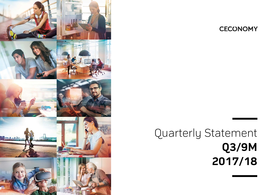

## **CECONOMY**

# Quarterly Statement **Q3/9M 2017/18**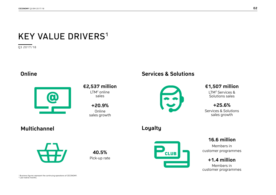## KEY VALUE DRIVERS<sup>1</sup>

Q3 2017/18

## **Online**



## **€2,537 million** LTM2 online

sales

**+20.9%** Online sales growth

## **Services & Solutions**



### **€1,507 million**

LTM2 Services & Solutions sales

**+25.6%** 

Services & Solutions sales growth

## **Multichannel**

**Loyalty**



**40.5%**Pick-up rate



### **16.6 million**

Members in customer programmes

### **+1.4 million**

Members in customer programmes

1 Business figures represent the continuing operations of CECONOMY. 2 Last twelve months.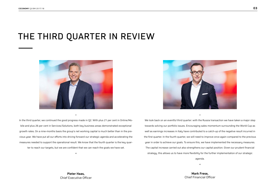## THE THIRD QUARTER IN REVIEW



In the third quarter, we continued the good progress made in Q2. With plus 21 per cent in Online/Mobile and plus 26 per cent in Services/Solutions, both key business areas demonstrated exceptional growth rates. On a nine-months basis the group's net working capital is much better than in the previous year. We have put all our efforts into driving forward our strategic agenda and accelerating the measures needed to support the operational result. We know that the fourth quarter is the key quarter to reach our targets, but we are confident that we can reach the goals we have set.

«

»



We look back on an eventful third quarter: with the Russia transaction we have taken a major step towards solving our portfolio issues. Encouraging sales momentum surrounding the World Cup as well as earnings increases in Italy have contributed to a catch-up of the negative result incurred in the first quarter. In the fourth quarter, we will need to improve once again compared to the previous year in order to achieve our goals. To ensure this, we have implemented the necessary measures. The capital increase carried out also strengthens our capital position. Given our prudent financial strategy, this allows us to have more flexibility for the further implementation of our strategic

»

agenda.

«

**Mark Frese,**  Chief Financial Officer

**Pieter Haas,**  Chief Executive Officer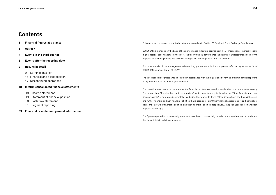### **Contents**

- **5 Financial figures at a glance**
- **6 Outlook**
- **7 Events in the third quarter**
- **8 Events after the reporting date**
- **9 Results in detail** 
	- 9 Earnings position
	- 15 Financial and asset position
	- 17 Discontinued operations

#### **18 Interim consolidated financial statements**

- 18 Income statement
	- 19 Statement of financial position
- 20 Cash flow statement
	- 21 Segment reporting
- **23 Financial calendar and general information**

This document represents a quarterly statement according to Section 53 Frankfurt Stock Exchange Regulations.

CECONOMY is managed on the basis of key performance indicators derived from IFRS (International Financial Reporting Standards) specifications Furthermore, the following key performance indicators are utilised: total sales growth adjusted for currency effects and portfolio changes, net working capital, EBITDA and EBIT.

For more details of the management-relevant key performance indicators, please refer to pages 49 to 52 of CECONOMY's Annual Report 2016/17.

The tax expense recognised was calculated in accordance with the regulations governing interim financial reporting using what is known as the integral approach.

The classification of items on the statement of financial position has been further detailed to enhance transparency. The current item "Receivables due from suppliers", which was formerly included under "Other financial and nonfinancial assets", is now stated separately. In addition, the aggregate items "Other financial and non-financial assets" and "Other financial and non-financial liabilities" have been split into "Other financial assets" and "Non-financial assets", and into "Other financial liabilities" and "Non-financial liabilities" respectively. The prior-year figures have been adjusted accordingly.

The figures reported in this quarterly statement have been commercially rounded and may therefore not add up to the stated totals in individual instances.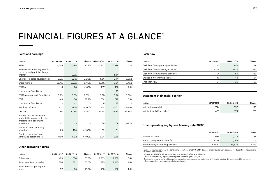## FINANCIAL FIGURES AT A GLANCE<sup>1</sup>

#### **Sales and earnings**

| $E$ million                                                                                                 | Q3 2016/17 <sup>2</sup> | 03 2017/18 | Change     | 9M 2016/17 <sup>2</sup> | 9M 2017/18 | Change    |
|-------------------------------------------------------------------------------------------------------------|-------------------------|------------|------------|-------------------------|------------|-----------|
| Sales                                                                                                       | 4,629                   | 4,598      | $-0.7%$    | 16,472                  | 16,498     | 0.2%      |
| Sales development adjusted for<br>currency and portfolio change<br>effects <sup>3</sup>                     | -                       | 0.8%       |            |                         | 1.0%       |           |
| Like-for-like sales development                                                                             | 2.3%                    | $-0.7%$    | $-3.0\%p.$ | 1.0%                    | 0.1%       | $-0.9%p.$ |
| Gross margin                                                                                                | 20.4%                   | 20.2%      | $-0.1%p.$  | 20.1%                   | 19.6%      | $-0.4%p.$ |
| <b>EBITDA</b>                                                                                               | $\overline{4}$          | 26         | >100%      | 417                     | 436        | 4.5%      |
| of which, Fnac Darty                                                                                        | -                       | $-1$       |            |                         | 19         |           |
| EBITDA margin excl. Fnac Darty                                                                              | 0.1%                    | 0.6%       | 0.5%p.     | 2.5%                    | 2.5%       | 0.0%p.    |
| <b>EBIT</b>                                                                                                 | $-49$                   | $-30$      | 39.1%      | 252                     | 270        | 6.9%      |
| of which, Fnac Darty                                                                                        | -                       | $-1$       |            | $\Omega$                | 19         |           |
| Net financial result                                                                                        | $-11$                   | $-154$     | $< -100%$  | $-12$                   | $-261$     | $< -100%$ |
| Tax rate                                                                                                    | 47.6%                   | 50.8%      | 3.2%p.     | 47.1%                   | 71.6%      | 24.5%p.   |
| Profit or loss for the period<br>attributable to non-controlling<br>interests from continuing<br>operations | $-2$                    | 13         |            | 38                      | 64         | 67.7%     |
| Net result from continuing<br>operations                                                                    | $-29$                   | $-104$     | $< -100%$  | 89                      | $-61$      |           |
| Earnings per share from<br>continuing operations $(\epsilon)$                                               | $-0.09$                 | $-0.32$    | $<-100%$   | 0.27                    | $-0.19$    |           |

#### **Other operating figures**

| $\epsilon$ million                   | 03 2016/17 | 03 2017/18 | Change   | 9M 2016/17 | 9M 2017/18 | Change |
|--------------------------------------|------------|------------|----------|------------|------------|--------|
| Online sales                         | 483        | 584        | 20.9%    | 1.753      | 1,988      | 13.4%  |
| Services & Solutions sales           | 304        | 381        | 25.6%    | 975        | 1.115      | 14.4%  |
| Investments as per segment<br>report | 77         | 63         | $-18.0%$ | 188        | 190        | 1.3%   |

#### **Cash flow**

| $\epsilon$ million                         | 9M 2016/17 | 9M 2017/18 | Change |
|--------------------------------------------|------------|------------|--------|
| Cash flow from operating activities        | 166        | 256        | 89     |
| Cash flow from investing activities        | $-202$     | $-212$     | $-10$  |
| Cash flow from financing activities        | $-104$     | 65         | 169    |
| Change in net working capital <sup>4</sup> | $-43$      | 18         | 61     |
| Free cash flow                             | -61        | 25         | 87     |

#### **Statement of financial position**

| $\epsilon$ million                  | 30/06/2017 | 30/06/2018 | Change |
|-------------------------------------|------------|------------|--------|
| Net working capital                 | $-744$     | $-857$     | $-113$ |
| Net liquidity $(+)/$ Net debt $(-)$ | 433        | 174        | $-259$ |

#### **Other operating key figures (closing date 30/06)**

|                                    | 30/06/2017 | 30/06/2018 | Change   |
|------------------------------------|------------|------------|----------|
| Number of stores                   | 984        | 1.019      | 35       |
| Retail space (in thousand $m^2$ )  | 2.795      | 2.795      |          |
| Workforce by full-time equivalents | 55,572     | 54,529     | $-1.043$ |

1 Business figures represent the continuing operations of CECONOMY. Balance sheet figures were adjusted for discontinued operations to enable comparison.

<sup>2</sup> Starting with EBITDA, all earnings figures are stated before special items

<sup>3</sup> Forecast-relevant key figures, starting from financial year 2017/18

4 Reported change in net working capital presented from the related statement of financial position items, adjusted for currency effects as well as investments and disinvestments.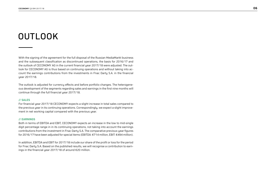## OUTLOOK

With the signing of the agreement for the full disposal of the Russian MediaMarkt business and the subsequent classification as discontinued operations, the basis for 2016/17 and the outlook of CECONOMY AG in the current financial year 2017/18 were adjusted. The outlook for CECONOMY AG is thus based on continuing operations and without taking into account the earnings contributions from the investments in Fnac Darty S.A. in the financial year 2017/18.

The outlook is adjusted for currency effects and before portfolio changes. The heterogeneous development of the segments regarding sales and earnings in the first nine months will continue through the full financial year 2017/18.

#### **// SALES**

For financial year 2017/18 CECONOMY expects a slight increase in total sales compared to the previous year in its continuing operations. Correspondingly, we expect a slight improvement in net working capital compared with the previous year.

#### **// EARNINGS**

Both in terms of EBITDA and EBIT, CECONOMY expects an increase in the low to mid-single digit percentage range in in its continuing operations, not taking into account the earnings contributions from the investment in Fnac Darty S.A. The comparative previous-year figures for 2016/17 have been adjusted for special items (EBITDA: €714 million, EBIT: €494 million).

In addition, EBITDA and EBIT for 2017/18 include our share of the profit or loss for the period for Fnac Darty S.A. Based on the published results, we will recognise a contribution to earnings in the financial year 2017/18 of around €20 million.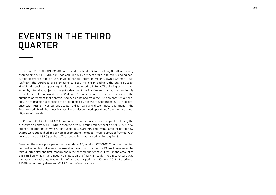## EVENTS IN THE THIRD QUARTER

On 20 June 2018, CECONOMY AG announced that Media-Saturn-Holding GmbH, a majority shareholding of CECONOMY AG, has acquired a 15 per cent stake in Russia's leading consumer electronics retailer PJSC M.video (M.video) from its majority owner Safmar Group (Safmar). The purchase price amounts to  $E$ 58 million; in addition, the entire Russian MediaMarkt business operating at a loss is transferred to Safmar. The closing of the transaction is, inter alia, subject to the authorisation of the Russian antitrust authorities. In this respect, the seller informed us on 31 July 2018 in accordance with the provisions of the purchase agreement that approval had been obtained from the Russian antitrust authorities. The transaction is expected to be completed by the end of September 2018. In accordance with IFRS 5 ("Non-current assets held for sale and discontinued operations"), the Russian MediaMarkt business is classified as discontinued operations from the date of notification of the sale.

On 29 June 2018, CECONOMY AG announced an increase in share capital excluding the subscription rights of CECONOMY shareholders by around ten per cent or 32,633,555 new ordinary bearer shares with no par value in CECONOMY. The overall amount of the new shares were subscribed in a private placement to the digital lifestyle provider freenet AG at an issue price of €8.50 per share. The transaction was carried out in July 2018.

Based on the share price performance of Metro AG, in which CECONOMY holds around ten per cent, an additional value impairment in the amount of around €138 million arose in the third quarter after the first impairment in the second quarter of 2017/18 in the amount of €131 million, which had a negative impact on the financial result. The effective date was the last stock exchange trading day of our quarter period on 29 June 2018 at a price of €10.59 per ordinary share and €11.95 per preference share.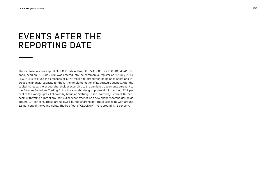## EVENTS AFTER THE REPORTING DATE

The increase in share capital of CECONOMY AG from €835,419,052.27 to €918,845,410.90 announced on 29 June 2018 was entered into the commercial register on 12 July 2018. CECONOMY will use the proceeds of €277 million to strengthen its balance sheet and increase its financial capacity for the further implementation of its strategic agenda. After the capital increase, the largest shareholder according to the published documents pursuant to the German Securities Trading Act is the shareholder group Haniel with around 22.7 per cent of the voting rights. Followed by Meridian Stiftung, Essen, (formerly: Schmidt-Ruthenbeck) with voting rights of around 14.3 per cent. freenet, as a new anchor shareholder, holds around 9.1 per cent. These are followed by the shareholder group Beisheim with around 6.6 per cent of the voting rights. The free float of CECONOMY AG is around 47.2 per cent.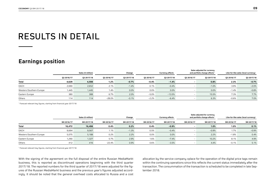## RESULTS IN DETAIL

### **Earnings position**

|                         |            | Sales (€ million)<br>Change |            |            |            | <b>Sales adjusted for currency</b><br>and portfolio change effects <sup>1</sup><br><b>Currency effects</b> |            |            | Like-for-like sales (local currency) |            |
|-------------------------|------------|-----------------------------|------------|------------|------------|------------------------------------------------------------------------------------------------------------|------------|------------|--------------------------------------|------------|
|                         | 03 2016/17 | 03 2017/18                  | 03 2016/17 | 03 2017/18 | 03 2016/17 | 03 2017/18                                                                                                 | 03 2016/17 | 03 2017/18 | 03 2016/17                           | 03 2017/18 |
| <b>Total</b>            | 4,629      | 4,598                       | 1.2%       | $-0.7%$    | $-0.4%$    | $-1.4%$                                                                                                    |            | 0.8%       | 2.3%                                 | $-0.7%$    |
| <b>DACH</b>             | 2,690      | 2,652                       | 2.1%       | $-1.4%$    | 0.1%       | $-0.4%$                                                                                                    |            | $-1.0%$    | 3.9%                                 | $-2.0%$    |
| Western/Southern Europe | 1,445      | 1,445                       | 1.4%       | 0.0%       | 0.0%       | 0.0%                                                                                                       |            | 0.0%       | $-1.4%$                              | $-0.8%$    |
| Eastern Europe          | 380        | 388                         | 6.7%       | 2.0%       | $-5.0%$    | $-13.5%$                                                                                                   |            | 15.5%      | 7.3%                                 | 7.7%       |
| Others                  | 114        | 114                         | $-28.0%$   | $-0.1%$    | $-2.2%$    | $-6.4%$                                                                                                    |            | 6.3%       | $-0.6%$                              | 7.0%       |

1 Forecast-relevant key figures, starting from financial year 2017/18

|                         |            | Sales (€ million) | Sales adjusted for currency<br>Change<br>and portfolio change effects <sup>1</sup><br><b>Currency effects</b> |            |            |            |            | Like-for-like sales (local currency) |            |            |
|-------------------------|------------|-------------------|---------------------------------------------------------------------------------------------------------------|------------|------------|------------|------------|--------------------------------------|------------|------------|
|                         | 9M 2016/17 | 9M 2017/18        | 9M 2016/17                                                                                                    | 9M 2017/18 | 9M 2016/17 | 9M 2017/18 | 9M 2016/17 | 9M 2017/18                           | 9M 2016/17 | 9M 2017/18 |
| <b>Total</b>            | 16,472     | 16,498            | 0.4%                                                                                                          | 0.2%       | 0.4%       | $-0.9%$    |            | 1.0%                                 | 1.0%       | 0.1%       |
| DACH                    | 9,694      | 9,567             | 1.1%                                                                                                          | $-1.3%$    | 0.5%       | $-0.4%$    |            | $-0.9%$                              | 1.7%       | $-0.9%$    |
| Western/Southern Europe | 5,075      | 5,188             | 0.2%                                                                                                          | 2.2%       | 0.0%       | 0.0%       |            | 2.2%                                 | $-1.8%$    | 0.4%       |
| Eastern Europe          | 1,290      | 1,327             | 5.7%                                                                                                          | 2.9%       | 1.6%       | $-7.4%$    |            | 10.2%                                | 8.1%       | 4.9%       |
| Others                  | 412        | 416               | $-22.4%$                                                                                                      | 0.9%       | 0.6%       | $-3.5%$    |            | 4.4%                                 | $-0.1%$    | 5.1%       |

1 Forecast-relevant key figures, starting from financial year 2017/18

With the signing of the agreement on the full disposal of the entire Russian MediaMarkt business, this is reported as discontinued operations beginning with the third quarter 2017/18. The reported numbers for the third quarter of 2017/18 were adjusted for the figures of the Russian MediaMarkt business and the previous year's figures adjusted accordingly. It should be noted that the general overhead costs allocated to Russia and a cost

allocation by the service company xplace for the operation of the digital price tags remain within the continuing operations since this reflects the current status immediately after the transaction. The consummation of the transaction is scheduled to be completed in late September 2018.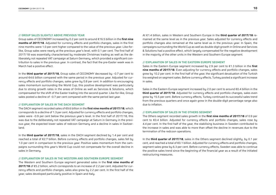#### **// GROUP SALES SLIGHTLY ABOVE PREVIOUS YEAR**

Group sales of CECONOMY increased by 0.2 per cent to around €16.5 billion in the **first nine months of 2017/18.** Adjusted for currency effects and portfolio changes, sales in the first nine months were 1.0 per cent higher compared to the value of the previous year. Like-forlike, Group sales were nearly at the previous year's level, with 0.1 per cent. The first half of 2017/18 was essentially characterised by moderate Christmas trading as well as the deliberately not repeated VAT campaign at Saturn Germany, which provided a significant contribution to sales in the previous year. In contrast, the fact that the pre-Easter week was in March had a positive effect.

In the **third quarter of 2017/18**, Group sales of CECONOMY decreased by –0.7 per cent to around €4.6 billion compared with the same period in the previous year. Adjusted for currency effects and portfolio changes, sales grew by 0.8 per cent. In addition to encouraging sales momentum surrounding the World Cup, this positive development was particularly due to strong growth rates in the areas of Online as well as Services & Solutions, which compensated for the shift of the Easter trading into the second quarter. Like-for-like, Group sales posted a decline of –0.7 per cent compared with the same period last year.

#### **// EXPLANATION OF SALES IN THE DACH SEGMENT**

The DACH segment recorded sales of €9.6 billion in the **first nine months of 2017/18**, which corresponds to a decline of 1.3 per cent. Adjusted for currency effects and portfolio changes, sales were -0.9 per cent below the previous year's level. In the first half of 2017/18, this was due to the deliberately not repeated VAT campaign at Saturn in Germany in the previous year, the expected lower sales of redcoon Germany and a decline in sales in Switzerland.

In the **third quarter of 2017/18**, sales in the DACH segment declined by 1.4 per cent and reached a total of €2.7 billion. Before currency effects and portfolio changes, sales fell by 1.0 per cent in comparison to the previous year. Positive sales momentum from the campaigns surrounding this year's World Cup could not compensate for the overall decline in sales in Germany.

#### **// EXPLANATION OF SALES IN THE WESTERN AND SOUTHERN EUROPE SEGMENT**

The Western and Southern Europe segment generated sales in the **first nine months of 2017/18** of €5.2 billion, which corresponds to an increase of 2.2 per cent. Adjusted for currency effects and portfolio changes, sales also grew by 2.2 per cent. In the first half of the year, sales developed particularly positive in Spain and Italy.

At €1.4 billion, sales in Western and Southern Europe in the **third quarter of 2017/18** remained at the same level as in the previous year. Sales adjusted for currency effects and portfolio changes also remained at the same level as in the previous year. In Spain, the campaigns surrounding the World Cup as well as double-digit growth in Online and Services & Solutions had a positive effect, which largely compensated for the negative development in the majority of the other units in the Western and Southern Europe segment.

#### **// EXPLANATION OF SALES IN THE EASTERN EUROPE SEGMENT**

Sales in the Eastern Europe segment increased by 2.9 per cent to €1.3 billion in the **first nine months of 2017/18**. Even adjusting for currency effects and portfolio changes, sales grew by 10.2 per cent. In the first half of the year, the significant devaluation of the Turkish lira weighed on segment sales. Before currency effects, Turkey posted a significant increase in sales.

Sales in the Eastern Europe segment increased by 2.0 per cent to around €0.4 billion in the **third quarter of 2017/18**. Adjusted for currency effects and portfolio changes, sales even grew by 15.5 per cent. Before currency effects, Turkey continued its successful sales trend from the previous quarters and once again grew in the double-digit percentage range also due to inflation.

#### **// EXPLANATION OF SALES IN THE OTHERS SEGMENT**

The Others segment recorded sales growth in the **first nine months of 2017/18** of 0.9 per cent to €0.4 billion. Adjusted for currency effects and portfolio changes, sales rose by 4.4 per cent. In the first half of the year, the stabilising business in Sweden contributed to the increase in sales and was able to more than offset the decline in revenues due to the termination of the redcoon operations.

In the **third quarter of 2017/18**, sales in the Others segment declined slightly, by 0.1 per cent, and reached a total of €0.1 billion. Adjusted for currency effects and portfolio changes, segment sales grew by 6.3 per cent. Before currency effects, Sweden was able to continue the positive sales trend since the beginning of the financial year as a result of the initiated restructuring measures.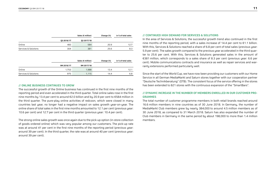|                      |            | Sales (€ million) |      | in % of total sales |
|----------------------|------------|-------------------|------|---------------------|
|                      | 03 2016/17 | 03 2017/18        |      |                     |
| Online               | 483        | 584               | 20.9 | 12.7                |
| Services & Solutions | 304        | 381               | 25.6 | 8.3                 |

|                      |            | Sales (€ million) | Change (%) | in % of total sales |
|----------------------|------------|-------------------|------------|---------------------|
|                      | 9M 2016/17 | 9M 2017/18        |            |                     |
| Online               | 1.753      | 1,988             | 13.4       | 12.1                |
| Services & Solutions | 975        | 1.115             | 14.4       | 6.8                 |

#### **// ONLINE BUSINESS CONTINUES TO GROW**

The successful growth of the Online business has continued in the first nine months of the reporting period and even accelerated in the third quarter. Total online sales rose in the first nine months by 13.4 per cent to around €2.0 billion and by 20.9 per cent to €584 million in the third quarter. The pure-play online activities of redcoon, which were closed in many countries last year, no longer had a negative impact on sales growth year-on-year. The online share of total sales in the first nine months amounted to 12.1 per cent (previous year: 10.6 per cent) and 12.7 per cent in the third quarter (previous year: 10.4 per cent).

The strong online sales growth was once again due to the pick-up option (in-store collection of goods ordered online) which was very popular among our customers. The pick-up rate was at around 41 per cent in the first nine months of the reporting period (previous year: around 39 per cent). In the third quarter, the rate was at around 40 per cent (previous year: around 39 per cent).

#### **// CONTINUED HIGH DEMAND FOR SERVICES & SOLUTIONS**

In the area of Services & Solutions, the successful growth trend also continued in the first nine months of the reporting period, with a sales increase of 14.4 per cent to  $\epsilon$ 1.1 billion. With this, Services & Solutions reached a share of 6.8 per cent of total sales (previous year: 5.9 per cent). The sales growth compared to the previous year accelerated in the third quarter to 25.6 per cent. With this, Services & Solutions generated sales in the amount of €381 million, which corresponds to a sales share of 8.3 per cent (previous year: 6.6 per cent). Mobile communications contracts and insurance as well as repair services and warrantu extensions performed particularly well.

Since the start of the World Cup, we have now been providing our customers with our Home Service in all German MediaMarkt and Saturn stores together with our cooperation partner "Deutsche Technikberatung" (DTB). The consistent focus of the service offering in the stores has been extended to 821 stores with the continuous expansion of the "SmartBars".

#### **// DYNAMIC INCREASE IN THE NUMBER OF MEMBERS ENROLLED IN OUR CUSTOMER PRO-GRAMMES**

The total number of customer programme members in both retail brands reached around 16.6 million members in nine countries as of 30 June 2018. In Germany, the number of MediaMarkt Club members grew by nearly 384,000 to around 4.5 million members as of 30 June 2018, as compared to 31 March 2018. Saturn has also expanded the number of Club members in Germany in the same period by about 198,000 to more than 1.4 million members.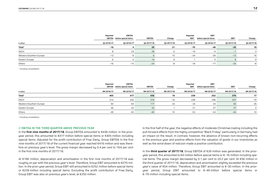|                         | Reported | <b>EBITDA</b><br>EBITDA before special items | EBITDA     | Change     | Reported<br><b>EBIT</b><br><b>EBIT</b><br>before special items |            | <b>EBIT</b>              | Change<br>Q3 2017/18 |  |
|-------------------------|----------|----------------------------------------------|------------|------------|----------------------------------------------------------------|------------|--------------------------|----------------------|--|
| $\bm{\epsilon}$ million |          | 03 2016/17<br>03 2017/18<br>03 2016/17       | 03 2017/18 | 03 2016/17 | 03 2016/17                                                     | 03 2017/18 |                          |                      |  |
| Total <sup>1</sup>      | $-16$    |                                              | 26         | 21         | $-70$                                                          | -49        | $-30$                    | 19                   |  |
| DACH                    |          | 24                                           | 29         |            | $-19$                                                          | $-4$       | $\overline{\phantom{0}}$ |                      |  |
| Western/Southern Europe | $-13$    | -9                                           |            | 15         | $-34$                                                          | $-29$      | $-13$                    | 16                   |  |
| Eastern Europe          |          |                                              | 14         |            |                                                                |            |                          |                      |  |
| Others                  | $-16$    | $-15$                                        | $-24$      |            | $-18$                                                          | $-17$      | $-25$                    | -8                   |  |

1 Including consolidation

|                         | Reported   | <b>EBITDA</b><br>EBITDA before special items | <b>EBITDA</b> | Change     | Reported<br>EBIT | EBIT<br><b>EBIT</b><br>before special items | Change     |            |
|-------------------------|------------|----------------------------------------------|---------------|------------|------------------|---------------------------------------------|------------|------------|
| $\epsilon$ million      | 9M 2016/17 | 9M 2016/17                                   | 9M 2017/18    | 9M 2017/18 | 9M 2016/17       | 9M 2016/17                                  | 9M 2017/18 | 9M 2017/18 |
| Total <sup>1</sup>      | 405        | 417                                          | 436           | 19         | 239              | 252                                         | 270        | 17         |
| DACH                    | 313        | 332                                          | 316           | $-16$      | 228              | 246                                         | 227        | $-19$      |
| Western/Southern Europe | 94         | 94                                           | 117           | 24         | 34               | 34                                          | 60         | 26         |
| Eastern Europe          | 46         | 42                                           | 43            |            | 31               | 27                                          | 27         |            |
| Others                  | $-49$      | $-50$                                        | $-40$         | 10         | $-53$            | $-54$                                       | $-44$      | 10         |

1 Including consolidation

#### **// EBITDA IN THE THIRD QUARTER ABOVE PREVIOUS YEAR**

In the **first nine months of 2017/18**, Group EBITDA amounted to €436 million. In the prioryear period, this amounted to €417 million before special items or €405 million including special items. Adjusted for the profit contribution of Fnac Darty, Group EBITDA in the first nine months of 2017/18 of the current financial year reached €416 million and was therefore on previous year's level. The gross margin decreased by 0.4 per cent to 19.6 per cent in the first nine months of 2017/18.

At €166 million, depreciation and amortisation in the first nine months of 2017/18 was roughly on par with the previous year's level. Therefore, Group EBIT amounted to €270 million. In the prior-year period, Group EBIT still amounted to €252 million before special items or €239 million including special items. Excluding the profit contribution of Fnac Darty, Group EBIT was also on previous year's level, at €250 million.

In the first half of the year, the negative effects of moderate Christmas trading including the pull-forward effects from the highly competitive "Black Friday" particularly in Germany had an impact on the result. In contrast, however, the absence of known non-recurring effects in the previous year and positive effects from the valuation of goods in our inventories as well as the wind-down of redcoon made a positive contribution.

In the **third quarter of 2017/18**, Group EBITDA of €26 million was generated. In the prioryear period, this amounted to €4 million before special items or €–16 million including special items. The gross margin decreased by 0.1 per cent to 20.2 per cent. At €56 million in the third quarter of 2017/18, depreciation and amortisation slightly exceeded the previous year's value of €54 million. Therefore, Group EBIT amounted to €–30 million. In the prioryear period, Group EBIT amounted to €–49 million before special items or €–70 million including special items.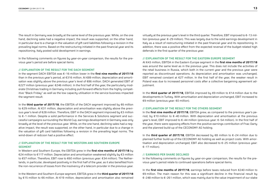The result in Germany was broadly at the same level of the previous year. While, on the one hand, declining sales had a negative impact, the result was supported, on the other hand, in particular due to a change in the valuation of gift card liabilities following a revision in the prevailing legal norms. Based on the restructuring initiated in the past financial year and its repositioning, Italy posted solid development in earnings.

In the following comments on figures by year-on-year comparison, the results for the previous year's period are before special items.

#### **// EXPLANATION OF THE RESULT FOR THE DACH SEGMENT**

In the segment DACH EBITDA was €–16 million lower in the **first nine months of 2017/18** than in the previous year's period, at €316 million. At €89 million, depreciation and amortisation was slightly above the previous year's level of €86 million. DACH generated EBIT of €227 million (previous year: €246 million). In the first half of the year, the particularly moderate Christmas trading in Germany including pull-forward effects from the highly competitive "Black Friday" as well as the low capacity utilisation in the service business impacted the segment result.

In the **third quarter of 2017/18**, the EBITDA of the DACH segment improved by €6 million to €29 million. At €31 million, depreciation and amortisation was slightly above the previous year's level of €28 million. Therefore, EBIT in the DACH segment improved by €3 million to €–1 million. Despite a solid performance in the Services & Solutions segment and successful campaigns surrounding the World Cup, earnings development in Germany was only broadly at the level of the previous year. While, on the one hand, declining sales had a negative impact, the result was supported, on the other hand, in particular due to a change in the valuation of gift card liabilities following a revision in the prevailing legal norms. The wind-down of redcoon had a positive effect.

#### **// EXPLANATION OF THE RESULT FOR THE WESTERN AND SOUTHERN EUROPE SEGMENT**

In Western and Southern Europe, the EBITDA grew in the **first nine months of 2017/18** by €24 million to €117 million. Depreciation and amortisation weakened slightly by €3 million to €57 million. Therefore, EBIT rose to €60 million (previous year: €34 million). The Netherlands, in particular, developed positively in the first half of the year, as it also benefited from the non-recurrence of losses from the insolvency of a telecom provider in the previous year.

In the Western and Southern Europe segment, EBITDA grew in the **third quarter of 2017/18** by €15 million to €6 million. At €19 million, depreciation and amortisation also remained virtually at the previous year's level in the third quarter. Therefore, EBIT improved to €–13 million (previous year: €–29 million). This was largely due to the solid earnings development in Italy as a result of restructuring initiated in the past financial year and its repositioning. In addition, there was a positive effect from the expected reversal of the budget-related high deferrals in the first quarter of the previous year.

#### **// EXPLANATION OF THE RESULT FOR THE EASTERN EUROPE SEGMENT**

At €43 million, EBITDA in the Eastern Europe segment in the **first nine months of 2017/18** was around the same level as in the previous year. This does not include the activities of the retail business in Russia, which both in the current year and the previous year were reported as discontinued operations. As depreciation and amortisation was unchanged, EBIT remained constant at €27 million. In the first half of the year, the weaker result in Poland was due to increased personnel costs after a collective bargaining agreement adjustment.

In the **third quarter of 2017/18**, EBITDA improved by €9 million to €14 million due to the developments in Turkey. With amortisation and depreciation unchanged, EBIT increased to €9 million (previous year: €0 million).

#### **// EXPLANATION OF THE RESULT FOR THE OTHERS SEGMENT**

In the **first nine months of 2017/18**, EBITDA grew, as compared to the previous year's period, by €10 million to €–40 million. With depreciation and amortisation at the previous year's level, EBIT improved to €–44 million (previous year: €–54 million). In the first half of the year, there were opposing effects from the positive earnings contribution of Fnac Darty and the planned build-up of the CECONOMY AG holding.

In the **third quarter of 2017/18**, EBITDA decreased by €8 million to €–24 million due to planned further build-up of the CECONOMY AG holding as well as project costs. With amortisation and depreciation unchanged, EBIT also decreased to €–25 million (previous year:  $E-17$  million).

#### **/**/ **EARNINGS PER SHARE DECLINED**

In the following comments on figures by year-on-year comparison, the results for the previous year's period relate to continued operations before special items.

In the **first nine months of 2017/18**, earnings before taxes reduced from €240 million to €9 million. The main reason for this was a significant decline in the financial result by €–248 million to €–261 million, which was mainly due to the value impairment of our stake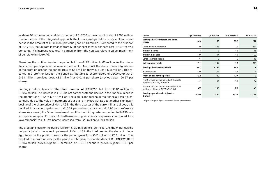in Metro AG in the second and third quarter of 2017/18 in the amount of about €268 million. Due to the use of the integrated approach, the lower earnings before taxes led to a tax expense in the amount of €6 million (previous year: €113 million). Compared to the first half of 2017/18, the tax rate increased from 52.9 per cent to 71.6 per cent (9M 2016/17: 47.1 per cent). This increase resulted, in particular, from the non-tax-relevant value impairment of our stake in Metro AG.

Therefore, the profit or loss for the period fell from €127 million to €3 million. As the minorities did not participate in the value impairment of Metro AG, the share of minority interest in the profit or loss for the period grew to €64 million (previous year: €38 million). This resulted in a profit or loss for the period attributable to shareholders of CECONOMY AG of €–61 million (previous year: €89 million) or €–0.19 per share (previous year: €0.27 per share).

Earnings before taxes in the **third quarter of 2017/18** fell from €–61 million to €–184 million. The increase in EBIT did not compensate the decline in the financial result in the amount of  $\epsilon$ -142 to  $\epsilon$ -154 million. The significant decline in the financial result is essentially due to the value impairment of our stake in Metro AG. Due to another significant decline of the share price of Metro AG in the third quarter of the current financial year, this resulted in a value impairment to €10.59 per ordinary share and €11.95 per preference share. As a result, the Other Investment result in the third quarter amounted to €-138 million (previous year: €0 million). Furthermore, higher interest expenses contributed to a lower financial result. Tax income increased from €29 million to €93 million.

The profit and loss for the period fell from  $\epsilon$ -32 million to  $\epsilon$ -90 million. As the minorities did not participate in the value impairment of Metro AG in the third quarter, the share of minoritu interest in the profit or loss for the period grew from  $\epsilon$ -2 million to €13 million. This resulted in a profit or loss for the period attributable to shareholders of CECONOMY AG of €–104 million (previous year: €–29 million) or €–0.32 per share (previous year: €–0.09 per share).

| $E$ million                                                                  | 03 2016/171 | 03 2017/18 | 9M 2016/171 | 9M 2017/18 |
|------------------------------------------------------------------------------|-------------|------------|-------------|------------|
| <b>Earnings before interest and taxes</b><br>(EBIT)                          | -49         | $-30$      | 252         | 270        |
| Other Investment result                                                      | 0           | $-138$     | 0           | $-239$     |
| Interest income                                                              | 4           | 3          | 12          | 18         |
| Interest expenses                                                            | $-9$        | $-14$      | $-19$       | $-29$      |
| Other Financial result                                                       | -6          | $-5$       | -6          | $-10$      |
| <b>Net financial result</b>                                                  | $-11$       | $-154$     | $-12$       | $-261$     |
| Earnings before taxes (EBT)                                                  | -61         | $-184$     | 240         | 9          |
| Income taxes                                                                 | 29          | 93         | $-113$      | -6         |
| Profit or loss for the period                                                | $-32$       | $-90$      | 127         | 3          |
| Profit or loss for the period attributable<br>to non-controlling interests   | $-2$        | 13         | 38          | 64         |
| Profit or loss for the period attributable<br>to shareholders of CECONOMY AG | $-29$       | $-104$     | 89          | $-61$      |
| Earnings per share in $\epsilon$ (basic =<br>diluted)                        | $-0.09$     | $-0.32$    | 0.27        | $-0.19$    |

1 All previous-year figures are stated before special items.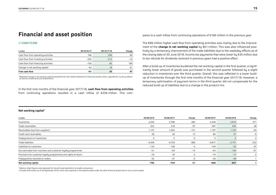### **Financial and asset position**

#### **// CASH FLOW**

| $\epsilon$ million                         | 9M 2016/17 | 9M 2017/18 | Change |
|--------------------------------------------|------------|------------|--------|
| Cash flow from operating activities        | 166        | 256        | 89     |
| Cash flow from investing activities        | $-202$     | $-212$     | -10    |
| Cash flow from financing activities        | $-104$     | 65         | 169    |
| Change in net working capital <sup>1</sup> | $-43$      | 18         | 61     |
| Free cash flow                             | -61        | 25         | 87     |

1 Reported change in net working capital presented from the related statement of financial position items, adjusted for currency effects as well as investments and divestments.

In the first nine months of the financial year 2017/18, **cash flow from operating activities** from continuing operations resulted in a cash inflow of €256 million. This compares to a cash inflow from continuing operations of €166 million in the previous year.<br>The €89 million higher cash flow from operating activities was mainly due to the improve-

ment of the **change in net working capital** by €61 million. This was also influenced posi tively by a temporary improvement of the trade liabilities due to the weekday effects as of<br>the closing date of 30 June 2018. Income tax payments that were lower by  $\epsilon$ 35 million due<br>to tax refunds for dividends received

icantly lower amount of goods was purchased in the second quarter followed by a slight reduction in inventories over the third quarter. Overall, this was reflected in a lower build up of inventories through the first nine months of the financial year 2017/18. However, a temporary optimisation of payment terms in the third quarter did not compensate for the reduced build-up of liabilities due to a cha

#### **Net working capital1**

| $\bm{\epsilon}$ million                                         | 30/09/2016 | 30/06/2017   | Change | 30/09/2017 | 30/06/2018 | Change |
|-----------------------------------------------------------------|------------|--------------|--------|------------|------------|--------|
| Inventories                                                     | 2,293      | 2,788        | 495    | 2,449      | 2,819      | 371    |
| Trade receivables                                               | 322        | 418          | 97     | 497        | 545        | 48     |
| Receivables due from suppliers <sup>2</sup>                     | 1,157      | 1,005        | $-151$ | 1,197      | 1,102      | $-95$  |
| Credit card receivables                                         | 28         | 40           | 13     | 66         | 57         | $-9$   |
| Prepayments on inventories                                      |            | <sup>n</sup> | 0      | $\Omega$   |            |        |
| Trade liabilities                                               | $-4,359$   | $-4,739$     | $-380$ | $-4,817$   | $-5,151$   | $-333$ |
| Liabilities to customers                                        | $-134$     | $-138$       | $-4$   | $-129$     | $-32$      | 97     |
| Accrued sales from vouchers and customer loyalty programmes     | $-51$      | $-64$        | $-14$  | $-63$      | $-144$     | $-81$  |
| Provisions for customer loyalty programmes and rights of return | $-18$      | $-18$        | 0      | $-19$      | $-17$      |        |
| Prepayments received on orders                                  | $-32$      | $-37$        | $-5$   | $-39$      | $-38$      |        |
| Net working capital                                             | $-795$     | $-744$       | 51     | -858       | $-857$     |        |

<sup>1</sup> Balance sheet figures were adjusted for discontinued operations to enable comparison.

2 Includes €29 million as of 30 September 2016, which was reported in the balance sheet under the other financial assets item in non-current assets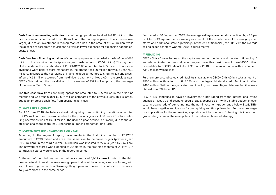**Cash flow from investing activities** of continuing operations totalled €–212 million in the first nine months compared to  $\epsilon$ -202 million in the prior-year period. This increase was largely due to an investment in money market funds in the amount of  $E45$  million, while the absence of corporate acquisitions as well as lower expenses for expansion had the opposite effect.

**Cash flow from financing activities** of continuing operations recorded a cash inflow of €65 million in the first nine months (previous year: cash outflow of €104 million). The payment of dividends to the shareholders of CECONOMY AG amounted to €85 million. In addition, dividends were paid to store managers in the amount of €30 million (previous year: €32 million). In contrast, the net raising of financing debts amounted to €156 million and a cash inflow of €25 million occurred from the dividend payment of Metro AG. In the previous year, CECONOMY paid out the total dividend in the amount of  $E$ 327 million prior to the demerger of the former Metro Group.

The **free cash flow** from continuing operations amounted to €25 million in the first nine months and was thus higher by €87 million compared to the previous year. This is largely due to an improved cash flow from operating activities.

#### **// LOWER NET LIQUIDITY**

As of 30 June 2018, the balance sheet net liquidity from continuing operations amounted to €174 million. The comparable value for the previous year as of 30 June 2017 for continuing operations was at  $\epsilon$ 433 million. The year-on-year decline is primarily due to the acquisition of a share of around 24 per cent in French competitor Fnac Darty.

#### **// INVESTMENTS UNCHANGED YEAR ON YEAR**

According to the segment report, **investments** in the first nine months of 2017/18 amounted to €190 million and are at the same level to the previous year (previous year: €188 million). In the third quarter, €63 million was invested (previous year: €77 million). The network of stores was extended to 29 stores in the first nine months of 2017/18. In contrast, six stores were closed in the reporting period.

At the end of the third quarter, our network comprised 1,019 **stores** in total. In the third quarter, a total of ten stores were newly opened. Most of the openings were in Turkey, with six, followed by one each in Germany, Italy, Spain and Poland. In contrast, two stores in Italy were closed in the same period.

Compared to 30 September 2017, the average **selling space per store** declined by –2.3 per cent to 2,743 square metres, mainly as a result of the smaller size of the newly opened stores and additional store rightsizings. At the end of financial year 2016/17, the average selling space per store was still 2,808 square metres.

#### **// FINANCING**

CECONOMY AG uses issues on the capital market for medium- and long-term financing. A euro-denominated commercial paper programme with a maximum volume of €500 million is available to CECONOMY AG. As of 30 June 2018, commercial paper with a volume of €347 million was utilised.

Furthermore, a syndicated credit facility is available to CECONOMY AG in a total amount of €550 million with a term until 2023 and multi-year bilateral credit facilities totalling €490 million. Neither the syndicated credit facility nor the multi-year bilateral facilities were utilised as of 30 June 2018.

CECONOMY continues to have an investment grade rating from the international rating agencies, Moodu's and Scope (Moodu's: Baa3, Scope: BBB-) with a stable outlook in each case. A downgrade of our rating into the non-investment-grade range below Baa3/BBB– would have negative implications for our liquidity and Group financing. Furthermore, negative implications for the net working capital cannot be ruled out. Obtaining this investment grade rating is one of the main pillars of our balanced financial strategy.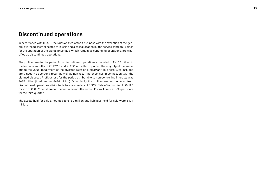### **Discontinued operations**

In accordance with IFRS 5, the Russian MediaMarkt business with the exception of the general overhead costs allocated to Russia and a cost allocation by the service company xplace for the operation of the digital price tags, which remain as continuing operations, are classified as discontinued operations.

The profit or loss for the period from discontinued operations amounted to  $\varepsilon$ -155 million in the first nine months of 2017/18 and €–152 in the third quarter. The majority of the loss is due to the value impairment of the divested Russian MediaMarkt business. Also included are a negative operating result as well as non-recurring expenses in connection with the planned disposal. Profit or loss for the period attributable to non-controlling interests was €–35 million (third quarter: €–34 million). Accordingly, the profit or loss for the period from discontinued operations attributable to shareholders of CECONOMY AG amounted to €–120 million or €–0.37 per share for the first nine months and €–117 million or €–0.36 per share for the third quarter.

The assets held for sale amounted to €160 million and liabilities held for sale were €171 million.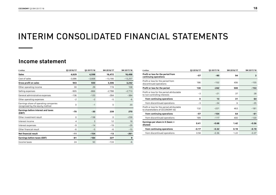## INTERIM CONSOLIDATED FINANCIAL STATEMENTS

### **Income statement**

| $E$ million                                                              | 03 2016/17 | 03 2017/18 | 9M 2016/17 | 9M 2017/18 |
|--------------------------------------------------------------------------|------------|------------|------------|------------|
| <b>Sales</b>                                                             | 4,629      | 4,598      | 16,472     | 16,498     |
| Cost of sales                                                            | $-3.686$   | $-3.668$   | $-13,166$  | $-13,257$  |
| <b>Gross profit on sales</b>                                             | 943        | 930        | 3,306      | 3,242      |
| Other operating income                                                   | 30         | 29         | 119        | 108        |
| Selling expenses                                                         | $-905$     | $-866$     | $-2,788$   | $-2,710$   |
| General administrative expenses                                          | $-136$     | $-120$     | $-394$     | $-384$     |
| Other operating expenses                                                 | $-2$       | $-2$       | $-5$       | -6         |
| Earnings share of operating companies<br>recognised by the equity method | $\Omega$   | $-1$       | $\Omega$   | 20         |
| Earnings before interest and taxes<br>(EBIT)                             | $-70$      | $-30$      | 239        | 270        |
| Other investment result                                                  | 0          | $-138$     | 0          | $-239$     |
| Interest income                                                          | 4          | 3          | 12         | 18         |
| Interest expenses                                                        | $-9$       | $-14$      | $-19$      | $-29$      |
| Other financial result                                                   | -6         | $-5$       | -6         | $-10$      |
| <b>Net financial result</b>                                              | $-11$      | $-154$     | $-13$      | $-261$     |
| <b>Earnings before taxes (EBT)</b>                                       | -81        | $-184$     | 227        | 9          |
| Income taxes                                                             | 24         | 93         | $-133$     | $-6$       |

| $E$ million                                                                  | 03 2016/17 | 03 2017/18 | 9M 2016/17 | 9M 2017/18 |
|------------------------------------------------------------------------------|------------|------------|------------|------------|
| Profit or loss for the period from<br>continuing operations                  | -57        | $-90$      | 94         | 3          |
| Profit or loss for the period from<br>discontinued operations                | 186        | $-152$     | 406        | $-155$     |
| Profit or loss for the period                                                | 130        | $-242$     | 500        | $-153$     |
| Profit or loss for the period attributable<br>to non-controlling interests   | $-3$       | $-21$      | 37         | 28         |
| from continuing operations                                                   | 0          | 13         | 31         | 64         |
| from discontinued operations                                                 | $-3$       | $-34$      | 6          | $-35$      |
| Profit or loss for the period attributable<br>to shareholders of CECONOMY AG | 132        | $-221$     | 463        | $-181$     |
| from continuing operations                                                   | $-57$      | $-104$     | 64         | $-61$      |
| from discontinued operations                                                 | 189        | $-117$     | 400        | $-120$     |
| Earnings per share in $\epsilon$ (basic =<br>diluted)                        | 0.41       | $-0.68$    | 1.42       | $-0.56$    |
| from continuing operations                                                   | $-0.17$    | $-0.32$    | 0.19       | $-0.19$    |
| from discontinued operations                                                 | 0.58       | $-0.36$    | 1.22       | $-0.37$    |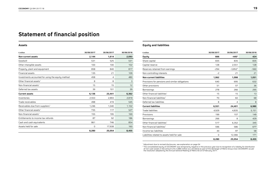## **Statement of financial position**

#### **Assets**

| $\epsilon$ million                                | 30/09/2017 | 30/06/2017 | 30/06/2018 |
|---------------------------------------------------|------------|------------|------------|
| <b>Non-current assets</b>                         | 2,144      | 1,614      | 2,093      |
| Goodwill                                          | 531        | 525        | 531        |
| Other intangible assets                           | 100        | 100        | 102        |
| Property, plant and equipment                     | 858        | 840        | 817        |
| <b>Financial assets</b>                           | 135        | 21         | 109        |
| Investments accounted for using the equity method | 458        | 4          | 480        |
| Other financial assets <sup>1</sup>               | 8          | 8          | 3          |
| Non-financial assets <sup>1</sup>                 | 15         | 15         | 12         |
| Deferred tax assets                               | 39         | 101        | 39         |
| <b>Current assets</b>                             | 6,136      | 23,441     | 6,362      |
| Inventories                                       | 2,553      | 2,893      | 2,819      |
| Trade receivables                                 | 498        | 419        | 545        |
| Receivables due from suppliers <sup>1</sup>       | 1,246      | 1.040      | 1,102      |
| Other financial assets <sup>1</sup>               | 735        | 117        | 527        |
| Non-financial assets <sup>1</sup>                 | 155        | 195        | 169        |
| Entitlements to income tax refunds                | 87         | 92         | 186        |
| Cash and cash equivalents                         | 861        | 746        | 854        |
| Assets held for sale                              | 0          | 17,938     | 160        |
|                                                   | 8,280      | 25,054     | 8,455      |

#### **Equity and liabilities**

| $E$ million                                     | 30/09/2017 | 30/06/2017 | 30/06/2018 |
|-------------------------------------------------|------------|------------|------------|
| <b>Equity</b>                                   | 666        | $-445^2$   | 424        |
| Share capital                                   | 835        | 835        | 835        |
| Capital reserve                                 | 128        | 2,551      | 128        |
| Reserves retained from earnings                 | $-294$     | $-3,852^2$ | $-560$     |
| Non-controlling interests                       | $-2$       | 21         | 21         |
| <b>Non-current liabilities</b>                  | 1,062      | 1,098      | 1,051      |
| Provisions for pensions and similar obligations | 640        | 695        | 632        |
| Other provisions                                | 51         | 57         | 36         |
| Borrowings                                      | 278        | 266        | 295        |
| Other financial liabilities <sup>1</sup>        | 15         | 15         | 13         |
| Non-financial liabilities <sup>1</sup>          | 70         | 60         | 68         |
| Deferred tax liabilities                        | 8          | 4          | 8          |
| <b>Current liabilities</b>                      | 6,551      | 24,401     | 6,980      |
| <b>Trade liabilities</b>                        | 4,929      | 4,835      | 5,151      |
| Provisions                                      | 199        | 157        | 149        |
| Borrowings                                      | 266        | 8          | 429        |
| Other financial liabilities <sup>1</sup>        | 517        | 6,352      | 345        |
| Non-financial liabilities <sup>1</sup>          | 596        | 586        | 677        |
| Income tax liabilities                          | 44         | 97         | 58         |
| Liabilities related to assets held for sale     | 0          | 12,366     | 171        |
|                                                 | 8,280      | 25,054     | 8,455      |

1 Adjustment due to revised disclosures, see explanation on page 04

<sup>2</sup> The consolidated equity of CECONOMY was temporarily negative in the previous year due to recognition of a liability for distribution<br>of non-cash assets in the amount of €–5,880 million as a dividend as part of the deme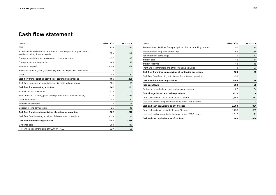### **Cash flow statement**

| $\epsilon$ million                                                                                         | 9M 2016/17 | 9M 2017/18     |
|------------------------------------------------------------------------------------------------------------|------------|----------------|
| <b>EBIT</b>                                                                                                | 239        | 270            |
| Scheduled depreciation and amortisation, write-ups and impairments on<br>assets excluding financial assets | 165        | 166            |
| Change in provisions for pensions and other provisions                                                     | $-32$      | $-49$          |
| Change in net working capital                                                                              | $-43$      | 18             |
| Income taxes paid                                                                                          | $-124$     | $-89$          |
| Reclassification of gains (-)/losses (+) from the disposal of fixed assets                                 | 3          | $\overline{c}$ |
| Other                                                                                                      | $-43$      | $-62$          |
| Cash flow from operating activities of continuing operations                                               | 166        | 256            |
| Cash flow from operating activities of discontinued operations                                             | 181        | $-75$          |
| Cash flow from operating activities                                                                        | 347        | 181            |
| Acquisitions of subsidiaries                                                                               | $-13$      | $\Omega$       |
| Investments in property, plant and equipment (excl. finance leases)                                        | $-175$     | $-153$         |
| Other investments                                                                                          | $-40$      | $-32$          |
| <b>Financial investments</b>                                                                               | $\Omega$   | $-45$          |
| Disposal of long-term assets                                                                               | 26         | 18             |
| Cash flow from investing activities of continuing operations                                               | $-202$     | $-212$         |
| Cash flow from investing activities of discontinued operations                                             | $-539$     | -6             |
| Cash flow from investing activities                                                                        | $-741$     | $-218$         |
| Dividends paid                                                                                             | $-360$     | $-117$         |
| of which: to shareholders of CECONOMY AG                                                                   | $-327$     | $-85$          |

| $E$ million                                                             | 9M 2016/17 | 9M 2017/18 |
|-------------------------------------------------------------------------|------------|------------|
| Redemption of liabilities from put options of non-controlling interests | $-2$       | $-2$       |
| Proceeds from long-term borrowings                                      | 255        | 168        |
| Redemption of borrowings                                                | O          | $-12$      |
| Interest paid                                                           | $-12$      | $-14$      |
| Interest received                                                       | 13         | 15         |
| Profit and loss transfers and other financing activities                | 3          | 27         |
| Cash flow from financing activities of continuing operations            | $-104$     | 65         |
| Cash flow from financing activities of discontinued operations          | $-90$      | 1          |
| Cash flow from financing activities                                     | $-194$     | 66         |
| <b>Total cash flows</b>                                                 | -588       | 28         |
| Exchange rate effects on cash and cash equivalents                      | $-22$      | $-24$      |
| Total change in cash and cash equivalents                               | $-610$     | 4          |
| Total cash and cash equivalents as of 1 October                         | 2,368      | 861        |
| Less cash and cash equivalents shown under IFRS 5 assets                | 0          | 0          |
| Cash and cash equivalents as of 1 October                               | 2,368      | 861        |
| Total cash and cash equivalents as of 30 June                           | 1,758      | 865        |
| Less cash and cash equivalents shown under IFRS 5 assets                | 1,012      | 11         |
| Cash and cash equivalents as of 30 June                                 | 746        | 854        |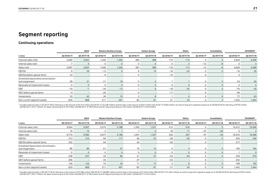### **Segment reporting**

#### **Continuing operations**

|                                                       |            | <b>DACH</b> |            | Western/Southern Europe |              | <b>Eastern Europe</b> |            | Others                   |            | Consolidation |            | CECONOMY <sup>1</sup> |
|-------------------------------------------------------|------------|-------------|------------|-------------------------|--------------|-----------------------|------------|--------------------------|------------|---------------|------------|-----------------------|
| $\epsilon$ million                                    | Q3 2016/17 | Q3 2017/18  | 03 2016/17 | Q3 2017/18              | Q3 2016/17   | Q3 2017/18            | Q3 2016/17 | 03 2017/18               | Q3 2016/17 | 03 2017/18    | Q3 2016/17 | Q3 2017/18            |
| External sales (net)                                  | 2,690      | 2,652       | 1,445      | 1,445                   | 380          | 388                   | 114        | 114                      | 0          | $\mathbf{0}$  | 4,629      | 4,598                 |
| Internal sales (net)                                  | 7          | 5.          | 0          | $\circ$                 | $\Omega$     |                       | .5         | $\mathcal{R}$            | $-12$      | -8            | 0          | $\mathbf{0}$          |
| Sales (net)                                           | 2,697      | 2,657       | 1,445      | 1,445                   | 381          | 388                   | 119        | 117                      | $-12$      | $-8$          | 4,629      | 4,598                 |
| EBITDA                                                | 8          | 29          | $-13$      | 6                       | ĥ            | 14                    | $-16$      | $-24$                    | 0          | $\Omega$      | $-16$      | 26                    |
| EBITDA before special items                           | 24         |             | -9         | $\qquad \qquad -$       |              |                       | $-15$      | $\overline{\phantom{m}}$ | 0          |               |            |                       |
| Scheduled depreciation/amortisation<br>and impairment | 28         | 31          | 21         | 19                      |              |                       |            |                          | 0          | $\mathbf{0}$  | 54         | 56                    |
| Reversals of impairment losses                        | 0          |             | 0          | $\mathbf{0}$            |              |                       | $\Omega$   | $\mathbf{0}$             | 0          | $\mathbf{0}$  | 0          | $\mathbf{0}$          |
| <b>EBIT</b>                                           | $-19$      | $-1$        | $-34$      | $-13$                   |              |                       | $-18$      | $-25$                    | 0          | $\mathbf{0}$  | $-70$      | $-30$                 |
| EBIT before special items                             | $-4$       |             | $-29$      | $\qquad \qquad -$       |              |                       | $-17$      | $\overline{\phantom{0}}$ | $\Omega$   |               | $-49$      | $\qquad \qquad$       |
| Investments                                           | 33         | 42          | 39         | 10 <sup>°</sup>         | $\mathbf{z}$ |                       |            |                          | $\Omega$   | $\Omega$      | 77         | 63                    |
| Non-current segment assets                            | 829        | 868         | 511        | 491                     | 82           | 81                    | 21         | 24                       | $\Omega$   | $\mathbf{0}$  | 1,442      | 1,464                 |

1 Includes external sales in Q3 2017/18 for Germany in the amount of €2,214 million (Q3 2016/17: €2,248 million) and for Italy in the amount of €441 million (Q3 2016/17: €450 million) as well as long-term segment assets a

|                                                       |            | <b>DACH</b> |            | <b>Western/Southern Europe</b> |            | <b>Eastern Europe</b> |            | Others       |            | Consolidation            |            | CECONOMY <sup>1</sup> |
|-------------------------------------------------------|------------|-------------|------------|--------------------------------|------------|-----------------------|------------|--------------|------------|--------------------------|------------|-----------------------|
| $\epsilon$ million                                    | 9M 2016/17 | 9M 2017/18  | 9M 2016/17 | 9M 2017/18                     | 9M 2016/17 | 9M 2017/18            | 9M 2016/17 | 9M 2017/18   | 9M 2016/17 | 9M 2017/18               | 9M 2016/17 | 9M 2017/18            |
| External sales (net)                                  | 9,694      | 9,567       | 5,075      | 5,188                          | ,290       | 1,327                 | 412        | 416          |            |                          | 16,472     | 16,498                |
| Internal sales (net)                                  | 16         | 15          | 2          |                                |            |                       | 18         | 11           | $-37$      | $-26$                    |            | $\mathbf 0$           |
| Sales (net)                                           | 9,710      | 9,582       | 5,077      | 5,189                          | 1.291      | 1,327                 | 430        | 427          | $-37$      | $-26$                    | 16.472     | 16,498                |
| EBITDA                                                | 313        | 316         | 94         | 117                            | 46         | 43                    | $-49$      | $-40$        | 0          |                          | 405        | 436                   |
| EBITDA before special items                           | 332        |             | 94         | $\qquad \qquad -$              | 42         |                       | $-50$      |              | 0          |                          | 417        | $\qquad \qquad$       |
| Scheduled depreciation/amortisation<br>and impairment | 86         | 89          | 61         | 57                             | 16         | 15                    |            |              | 0          | 0                        | 166        | 166                   |
| Reversals of impairment losses                        | $\circ$    | 0           | 0          | $\mathbf{0}$                   |            |                       | 0          | $\mathbf{0}$ | 0          | 0                        |            | $\mathbf 0$           |
| EBIT                                                  | 228        | 227         | 34         | 60                             | 31         | 27                    | $-53$      | $-44$        | 0          | $\mathbf{0}$             | 239        | 270                   |
| EBIT before special items                             | 246        | $-$         | 34         | $-$                            | 27         |                       | $-54$      |              | 0          | $\overline{\phantom{0}}$ | 252        | $\qquad \qquad$       |
| Investments                                           | 100        | 133         | 74         | 32                             | 11         | 17                    | 2          | 8            | 0          | 0                        | 188        | 190                   |
| Non-current segment assets                            | 829        | 868         | 511        | 491                            | 82         | 81                    | 21         | 24           | 0          | 0                        | 1,442      | 1,464                 |

1 Includes external sales in 9M 2017/18 for Germany in the amount of €7,990 million (9M 2016/17: €8,089 million) and for Italy in the amount of €1.616 million (9M 2016/17: €1,593 million) as well as long-term segment asse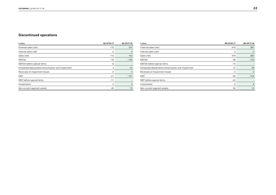### **Discontinued operations**

| $E$ million                                        | 03 2016/17 | 03 2017/18 |
|----------------------------------------------------|------------|------------|
| External sales (net)                               | 110        | 103        |
| Internal sales (net)                               | 0          | 0          |
| Sales (net)                                        | 110        | 103        |
| <b>EBITDA</b>                                      | $-16$      | $-126$     |
| EBITDA before special items                        | -8         |            |
| Scheduled depreciation/amortisation and impairment | 4          | 25         |
| Reversals of impairment losses                     | 0          | $\Omega$   |
| <b>EBIT</b>                                        | $-21$      | $-151$     |
| EBIT before special items                          | $-11$      |            |
| Investments                                        | 2          | 3          |
| Non-current segment assets                         | 45         | 13         |

| $\epsilon$ million                                 | 9M 2016/17 | 9M 2017/18  |
|----------------------------------------------------|------------|-------------|
| External sales (net)                               | 419        | 387         |
| Internal sales (net)                               | 0          | 0           |
| Sales (net)                                        | 419        | 387         |
| EBITDA                                             | $-38$      | $-125$      |
| EBITDA before special items                        | $-15$      |             |
| Scheduled depreciation/amortisation and impairment | 12         | 29          |
| Reversals of impairment losses                     | 0          | $\mathbf 0$ |
| EBIT                                               | $-50$      | $-154$      |
| EBIT before special items                          | $-24$      |             |
| Investments                                        | 6          | 6           |
| Non-current segment assets                         | 45         | 13          |